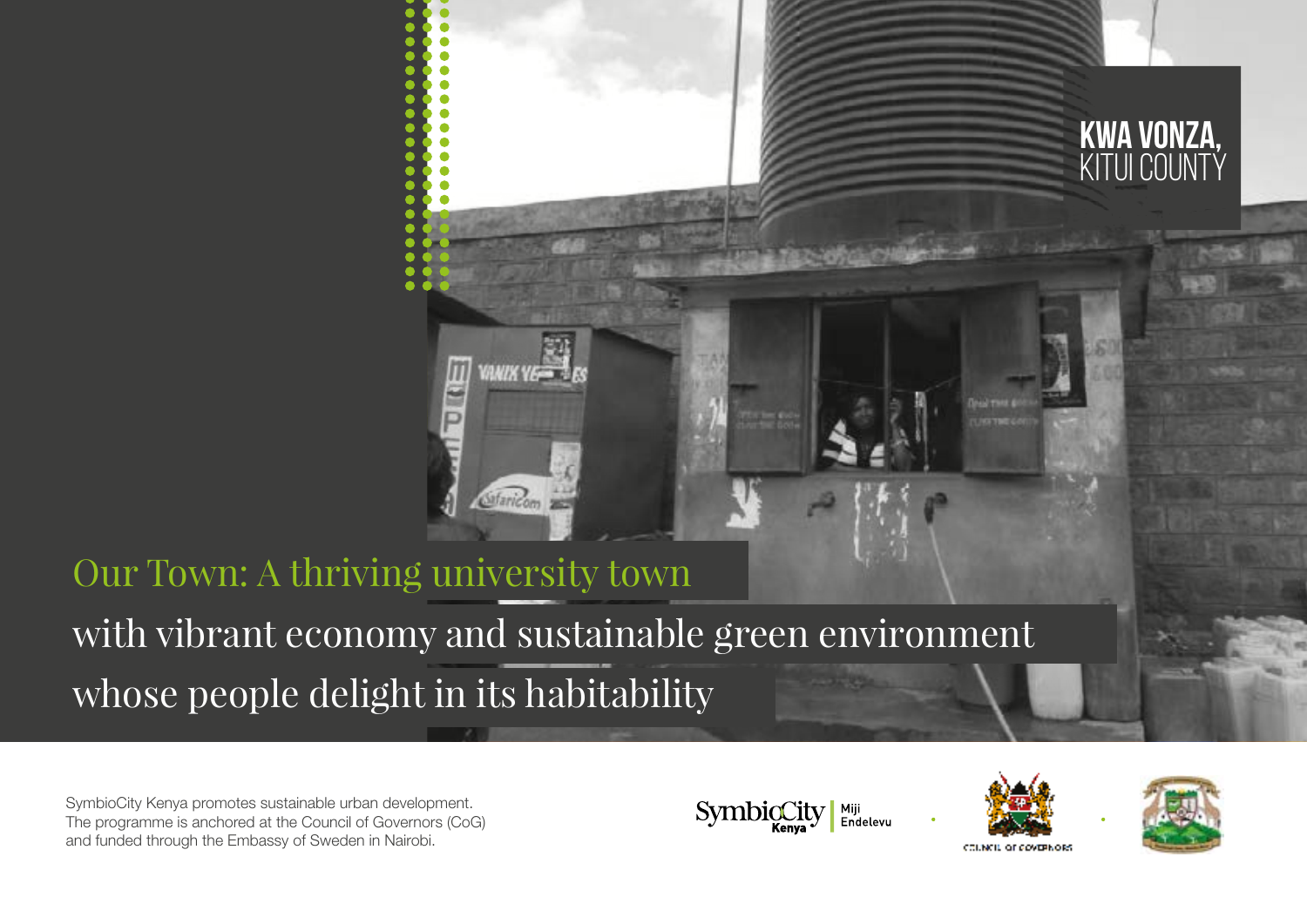

SymbioCity Kenya promotes sustainable urban development. The programme is anchored at the Council of Governors (CoG) and funded through the Embassy of Sweden in Nairobi.







Kwa Vonza,

KITUI COUNTÝ

COUNCIL OF COVERNOIS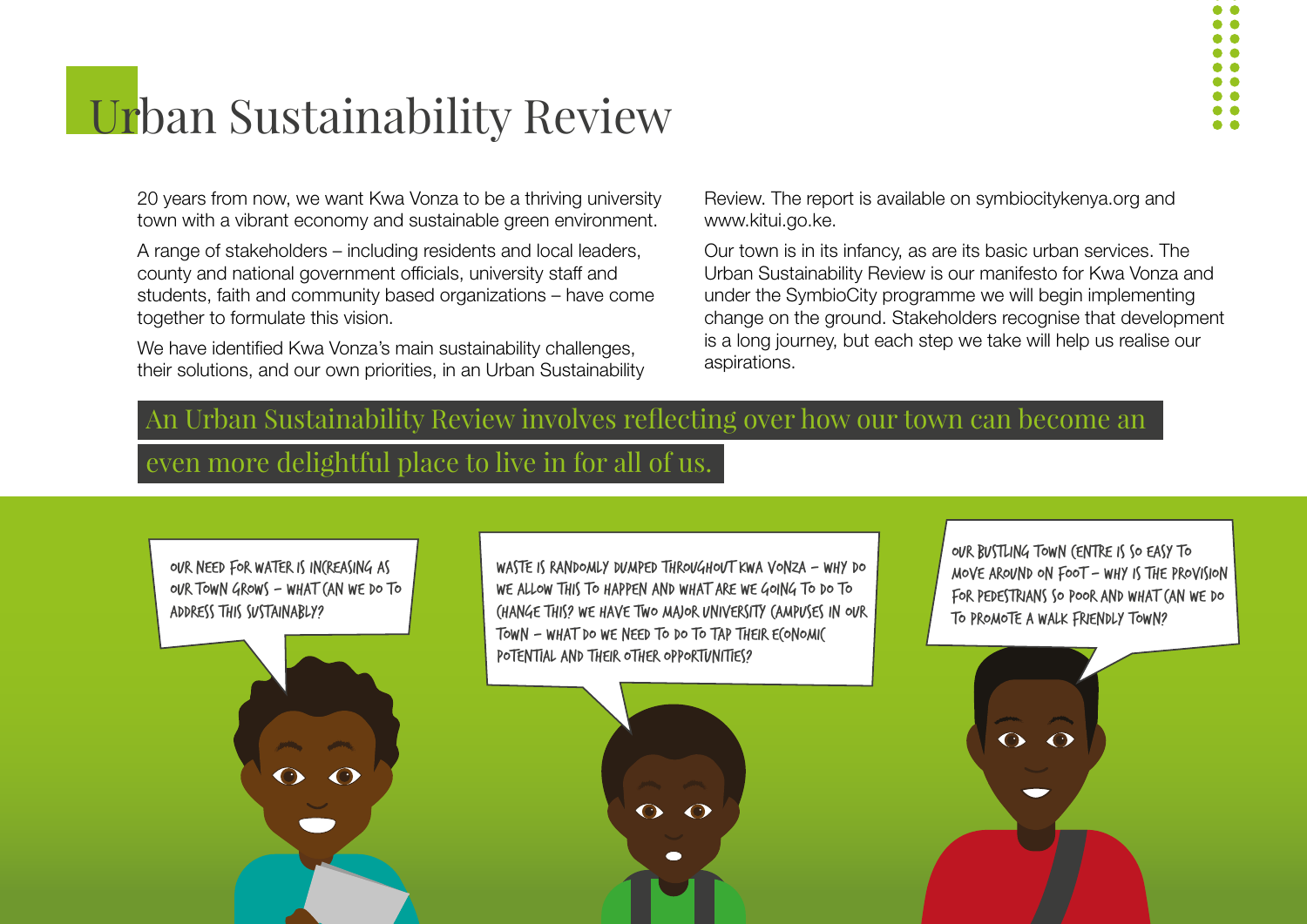# **Urban Sustainability Review**

20 years from now, we want Kwa Vonza to be a thriving university town with a vibrant economy and sustainable green environment.

A range of stakeholders – including residents and local leaders, county and national government officials, university staff and students, faith and community based organizations – have come together to formulate this vision.

We have identified Kwa Vonza's main sustainability challenges, their solutions, and our own priorities, in an Urban Sustainability Review. The report is available on symbiocitykenya.org and www.kitui.go.ke.

Our town is in its infancy, as are its basic urban services. The Urban Sustainability Review is our manifesto for Kwa Vonza and under the SymbioCity programme we will begin implementing change on the ground. Stakeholders recognise that development is a long journey, but each step we take will help us realise our aspirations.

## An Urban Sustainability Review involves reflecting over how our town can become an

## even more delightful place to live in for all of us.

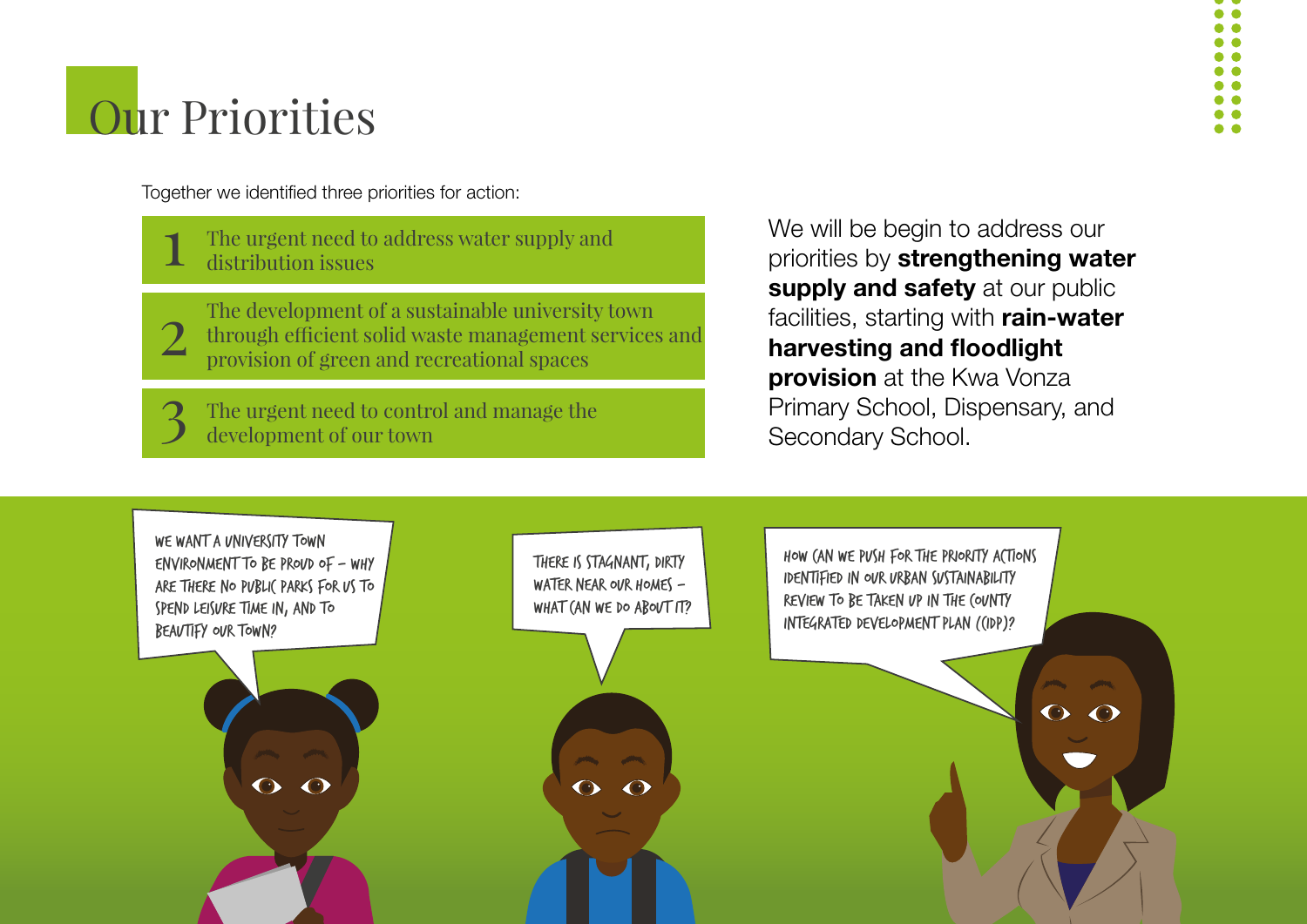# **Our Priorities**

Together we identified three priorities for action:

1 The urgent need to address water supply and distribution issues

2 The development of a sustainable university town through efficient solid waste management services and provision of green and recreational spaces

3 The urgent need to control and manage the development of our town

We will be begin to address our priorities by strengthening water supply and safety at our public facilities, starting with rain-water harvesting and floodlight **provision** at the Kwa Vonza Primary School, Dispensary, and Secondary School.